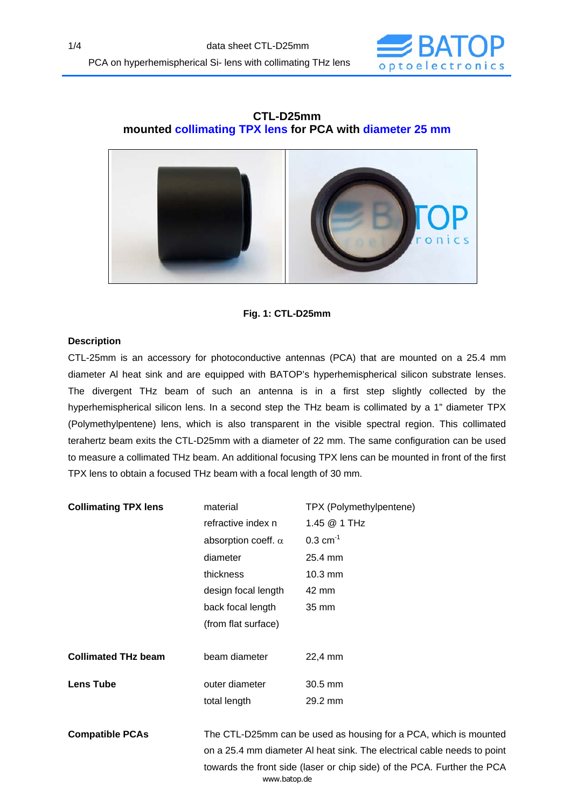

# **CTL-D25mm mounted collimating TPX lens for PCA with diameter 25 mm**



## **Fig. 1: CTL-D25mm**

## **Description**

CTL-25mm is an accessory for photoconductive antennas (PCA) that are mounted on a 25.4 mm diameter Al heat sink and are equipped with BATOP's hyperhemispherical silicon substrate lenses. The divergent THz beam of such an antenna is in a first step slightly collected by the hyperhemispherical silicon lens. In a second step the THz beam is collimated by a 1" diameter TPX (Polymethylpentene) lens, which is also transparent in the visible spectral region. This collimated terahertz beam exits the CTL-D25mm with a diameter of 22 mm. The same configuration can be used to measure a collimated THz beam. An additional focusing TPX lens can be mounted in front of the first TPX lens to obtain a focused THz beam with a focal length of 30 mm.

| <b>Collimating TPX lens</b> | material                                                                | TPX (Polymethylpentene) |
|-----------------------------|-------------------------------------------------------------------------|-------------------------|
|                             | refractive index n                                                      | 1.45 @ 1 THz            |
|                             | absorption coeff. $\alpha$                                              | $0.3 \text{ cm}^{-1}$   |
|                             | diameter                                                                | 25.4 mm                 |
|                             | thickness                                                               | $10.3 \text{ mm}$       |
|                             | design focal length                                                     | 42 mm                   |
|                             | back focal length                                                       | 35 mm                   |
|                             | (from flat surface)                                                     |                         |
|                             |                                                                         |                         |
| <b>Collimated THz beam</b>  | beam diameter                                                           | 22,4 mm                 |
| <b>Lens Tube</b>            | outer diameter                                                          | $30.5$ mm               |
|                             | total length                                                            | 29.2 mm                 |
|                             |                                                                         |                         |
| <b>Compatible PCAs</b>      | The CTL-D25mm can be used as housing for a PCA, which is mounted        |                         |
|                             | on a 25.4 mm diameter AI heat sink. The electrical cable needs to point |                         |
|                             | towards the front side (laser or chip side) of the PCA. Further the PCA |                         |

www.batop.de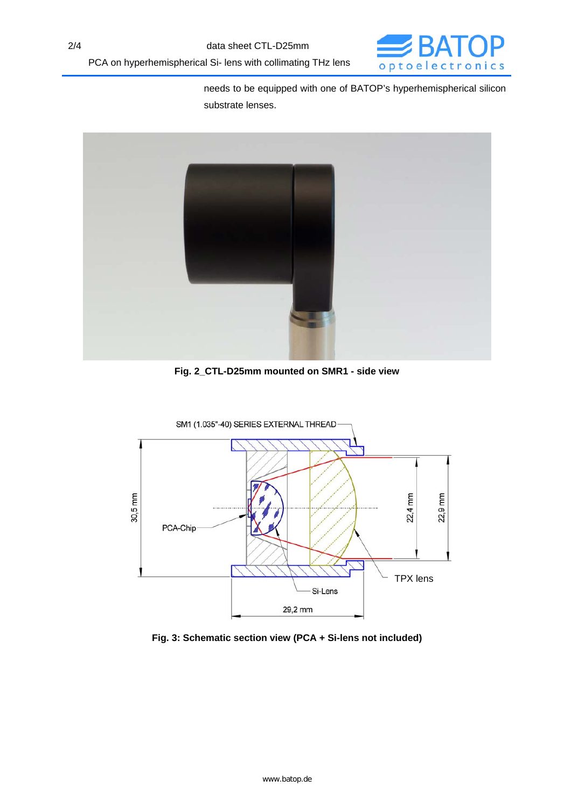

needs to be equipped with one of BATOP's hyperhemispherical silicon substrate lenses.



**Fig. 2\_CTL-D25mm mounted on SMR1 - side view** 



**Fig. 3: Schematic section view (PCA + Si-lens not included)**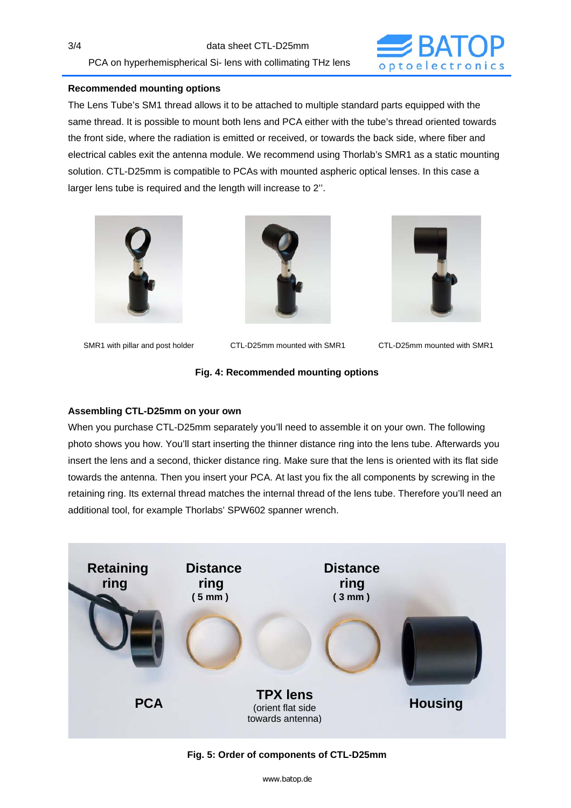3/4 data sheet CTL-D25mm PCA on hyperhemispherical Si- lens with collimating THz lens



### **Recommended mounting options**

The Lens Tube's SM1 thread allows it to be attached to multiple standard parts equipped with the same thread. It is possible to mount both lens and PCA either with the tube's thread oriented towards the front side, where the radiation is emitted or received, or towards the back side, where fiber and electrical cables exit the antenna module. We recommend using Thorlab's SMR1 as a static mounting solution. CTL-D25mm is compatible to PCAs with mounted aspheric optical lenses. In this case a larger lens tube is required and the length will increase to 2''.





SMR1 with pillar and post holder CTL-D25mm mounted with SMR1 CTL-D25mm mounted with SMR1



### **Fig. 4: Recommended mounting options**

### **Assembling CTL-D25mm on your own**

When you purchase CTL-D25mm separately you'll need to assemble it on your own. The following photo shows you how. You'll start inserting the thinner distance ring into the lens tube. Afterwards you insert the lens and a second, thicker distance ring. Make sure that the lens is oriented with its flat side towards the antenna. Then you insert your PCA. At last you fix the all components by screwing in the retaining ring. Its external thread matches the internal thread of the lens tube. Therefore you'll need an additional tool, for example Thorlabs' SPW602 spanner wrench.



#### **Fig. 5: Order of components of CTL-D25mm**